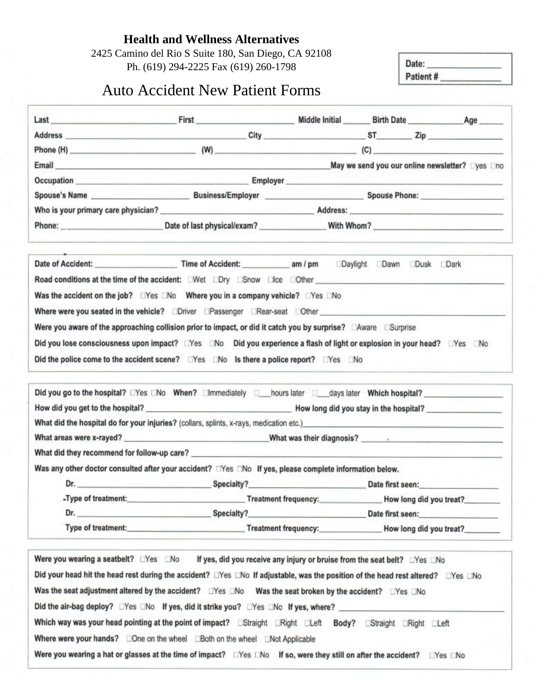**Health and Wellness Alternatives**

2425 Camino del Rio S Suite 180, San Diego, CA 92108 Ph. (619) 294-2225 Fax (619) 260-1798

Date: Patient#

# Auto Accident New Patient Forms

|                     | Phone (H) $(0)$ $(0)$ $(1)$ $(2)$ $(3)$ $(4)$ $(5)$ $(6)$ $(7)$ $(8)$ $(9)$ $(10)$ $(11)$ $(11)$ $(12)$ $(13)$ $(12)$ $(13)$ $(14)$ $(15)$ $(17)$ $(18)$ $(19)$ $(19)$ $(19)$ $(19)$ $(19)$ $(19)$ $(19)$ $(19)$ $(19)$ $(19)$ |                      |                                                                                                                                                                                                                                |
|---------------------|--------------------------------------------------------------------------------------------------------------------------------------------------------------------------------------------------------------------------------|----------------------|--------------------------------------------------------------------------------------------------------------------------------------------------------------------------------------------------------------------------------|
|                     | Email May we send you our online newsletter? Dyes Dino                                                                                                                                                                         |                      |                                                                                                                                                                                                                                |
|                     |                                                                                                                                                                                                                                |                      |                                                                                                                                                                                                                                |
|                     |                                                                                                                                                                                                                                |                      |                                                                                                                                                                                                                                |
|                     | Who is your primary care physician? Network and the set of the Address: Address:                                                                                                                                               |                      |                                                                                                                                                                                                                                |
|                     | Phone: <u>Date</u> of last physical/exam? With Whom?                                                                                                                                                                           |                      |                                                                                                                                                                                                                                |
|                     |                                                                                                                                                                                                                                |                      |                                                                                                                                                                                                                                |
|                     | Was the accident on the job? LYes LNo Where you in a company vehicle? LYes LNo                                                                                                                                                 |                      |                                                                                                                                                                                                                                |
|                     |                                                                                                                                                                                                                                |                      |                                                                                                                                                                                                                                |
|                     |                                                                                                                                                                                                                                |                      |                                                                                                                                                                                                                                |
|                     | Where were you seated in the vehicle? Diriver Deassenger DRear-seat Dother Chere and Communication of the vehicle?                                                                                                             |                      |                                                                                                                                                                                                                                |
|                     | Were you aware of the approaching collision prior to impact, or did it catch you by surprise? Aware Surprise                                                                                                                   |                      |                                                                                                                                                                                                                                |
|                     | Did you lose consciousness upon impact? □Yes □No Did you experience a flash of light or explosion in your head? □Yes □No                                                                                                       |                      |                                                                                                                                                                                                                                |
|                     | Did the police come to the accident scene? □Yes □No Is there a police report? □Yes □No                                                                                                                                         |                      |                                                                                                                                                                                                                                |
|                     | Did you go to the hospital? EYes ENo When? Elmmediately E_hours later E_days later Which hospital?                                                                                                                             |                      |                                                                                                                                                                                                                                |
|                     |                                                                                                                                                                                                                                |                      |                                                                                                                                                                                                                                |
|                     | What did the hospital do for your injuries? (collars, splints, x-rays, medication etc.) examples and the hospital do for your injuries? (collars, splints, x-rays, medication etc.)                                            |                      |                                                                                                                                                                                                                                |
|                     |                                                                                                                                                                                                                                |                      |                                                                                                                                                                                                                                |
|                     | What did they recommend for follow-up care?                                                                                                                                                                                    |                      |                                                                                                                                                                                                                                |
|                     | Was any other doctor consulted after your accident?<br>$\Box$ Yes $\Box$ No If yes, please complete information below.                                                                                                         |                      |                                                                                                                                                                                                                                |
|                     | Dr. Specialty?                                                                                                                                                                                                                 |                      | Date first seen: The control of the control of the control of the control of the control of the control of the control of the control of the control of the control of the control of the control of the control of the contro |
| -Type of treatment: |                                                                                                                                                                                                                                | Treatment frequency: | How long did you treat?                                                                                                                                                                                                        |
|                     | Specialty?                                                                                                                                                                                                                     | Date first seen:     |                                                                                                                                                                                                                                |

Was the seat adjustment altered by the accident? LYes LNo Was the seat broken by the accident? LYes LNo

Did your head hit the head rest during the accident? LiYes LNo If adjustable, was the position of the head rest altered? LYes LNo

Did the air-bag deploy? DYes DNo If yes, did it strike you? DYes DNo If yes, where? Which way was your head pointing at the point of impact? EStraight ERight ELeft Body? EStraight ERight ELeft

Where were your hands? EOne on the wheel EBoth on the wheel ENot Applicable

Were you wearing a hat or glasses at the time of impact? □Yes □No If so, were they still on after the accident? □Yes □No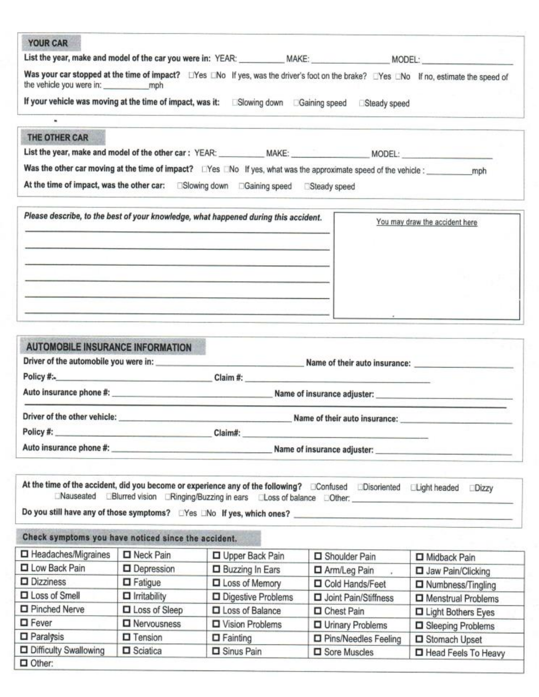| <b>YOUR CAR</b>                                                                                                                                                                                                                                                                                                                                                       |                                                                                                                                                                                                                                      |                                                                                                                                                                                                                                      |                                          |                                      |
|-----------------------------------------------------------------------------------------------------------------------------------------------------------------------------------------------------------------------------------------------------------------------------------------------------------------------------------------------------------------------|--------------------------------------------------------------------------------------------------------------------------------------------------------------------------------------------------------------------------------------|--------------------------------------------------------------------------------------------------------------------------------------------------------------------------------------------------------------------------------------|------------------------------------------|--------------------------------------|
|                                                                                                                                                                                                                                                                                                                                                                       |                                                                                                                                                                                                                                      |                                                                                                                                                                                                                                      |                                          |                                      |
|                                                                                                                                                                                                                                                                                                                                                                       |                                                                                                                                                                                                                                      | Was your car stopped at the time of impact? LYes LNo If yes, was the driver's foot on the brake? LYes LNo If no, estimate the speed of                                                                                               |                                          |                                      |
|                                                                                                                                                                                                                                                                                                                                                                       |                                                                                                                                                                                                                                      |                                                                                                                                                                                                                                      |                                          |                                      |
|                                                                                                                                                                                                                                                                                                                                                                       |                                                                                                                                                                                                                                      | If your vehicle was moving at the time of impact, was it: Slowing down CGaining speed Steady speed                                                                                                                                   |                                          |                                      |
|                                                                                                                                                                                                                                                                                                                                                                       |                                                                                                                                                                                                                                      |                                                                                                                                                                                                                                      |                                          |                                      |
| THE OTHER CAR                                                                                                                                                                                                                                                                                                                                                         |                                                                                                                                                                                                                                      |                                                                                                                                                                                                                                      |                                          |                                      |
|                                                                                                                                                                                                                                                                                                                                                                       |                                                                                                                                                                                                                                      | List the year, make and model of the other car: YEAR: ____________MAKE: ___________________MODEL: ____________                                                                                                                       |                                          |                                      |
|                                                                                                                                                                                                                                                                                                                                                                       |                                                                                                                                                                                                                                      |                                                                                                                                                                                                                                      |                                          |                                      |
|                                                                                                                                                                                                                                                                                                                                                                       |                                                                                                                                                                                                                                      | At the time of impact, was the other car: Slowing down Gaining speed Steady speed                                                                                                                                                    |                                          |                                      |
|                                                                                                                                                                                                                                                                                                                                                                       |                                                                                                                                                                                                                                      | Please describe, to the best of your knowledge, what happened during this accident.                                                                                                                                                  |                                          |                                      |
|                                                                                                                                                                                                                                                                                                                                                                       |                                                                                                                                                                                                                                      |                                                                                                                                                                                                                                      |                                          | You may draw the accident here       |
|                                                                                                                                                                                                                                                                                                                                                                       |                                                                                                                                                                                                                                      |                                                                                                                                                                                                                                      |                                          |                                      |
|                                                                                                                                                                                                                                                                                                                                                                       |                                                                                                                                                                                                                                      |                                                                                                                                                                                                                                      |                                          |                                      |
|                                                                                                                                                                                                                                                                                                                                                                       |                                                                                                                                                                                                                                      |                                                                                                                                                                                                                                      |                                          |                                      |
|                                                                                                                                                                                                                                                                                                                                                                       |                                                                                                                                                                                                                                      | <u> de la companya del company del company de la companya de la companya de la companya de la companya de la comp</u>                                                                                                                |                                          |                                      |
|                                                                                                                                                                                                                                                                                                                                                                       |                                                                                                                                                                                                                                      | <u> de la propincia de la propincia de la propincia de la propincia de la propincia de la propincia de la propincia de la propincia de la propincia de la propincia de la propincia de la propincia de la propincia de la propin</u> |                                          |                                      |
|                                                                                                                                                                                                                                                                                                                                                                       |                                                                                                                                                                                                                                      |                                                                                                                                                                                                                                      |                                          |                                      |
|                                                                                                                                                                                                                                                                                                                                                                       |                                                                                                                                                                                                                                      |                                                                                                                                                                                                                                      |                                          |                                      |
|                                                                                                                                                                                                                                                                                                                                                                       |                                                                                                                                                                                                                                      |                                                                                                                                                                                                                                      |                                          |                                      |
| <b>AUTOMOBILE INSURANCE INFORMATION</b>                                                                                                                                                                                                                                                                                                                               |                                                                                                                                                                                                                                      |                                                                                                                                                                                                                                      |                                          |                                      |
|                                                                                                                                                                                                                                                                                                                                                                       |                                                                                                                                                                                                                                      |                                                                                                                                                                                                                                      |                                          |                                      |
|                                                                                                                                                                                                                                                                                                                                                                       |                                                                                                                                                                                                                                      |                                                                                                                                                                                                                                      |                                          |                                      |
|                                                                                                                                                                                                                                                                                                                                                                       |                                                                                                                                                                                                                                      | Auto insurance phone #: Name of insurance adjuster: Name of insurance adjuster:                                                                                                                                                      |                                          |                                      |
| Driver of the other vehicle:                                                                                                                                                                                                                                                                                                                                          |                                                                                                                                                                                                                                      |                                                                                                                                                                                                                                      |                                          |                                      |
|                                                                                                                                                                                                                                                                                                                                                                       |                                                                                                                                                                                                                                      |                                                                                                                                                                                                                                      | Name of their auto insurance:            |                                      |
|                                                                                                                                                                                                                                                                                                                                                                       |                                                                                                                                                                                                                                      |                                                                                                                                                                                                                                      |                                          |                                      |
| Auto insurance phone #:                                                                                                                                                                                                                                                                                                                                               | <u> 1989 - Jan Stone Harry Harry Harry Harry Harry Harry Harry Harry Harry Harry Harry Harry Harry Harry Harry Harry Harry Harry Harry Harry Harry Harry Harry Harry Harry Harry Harry Harry Harry Harry Harry Harry Harry Harry</u> |                                                                                                                                                                                                                                      | Name of insurance adjuster:              |                                      |
|                                                                                                                                                                                                                                                                                                                                                                       |                                                                                                                                                                                                                                      |                                                                                                                                                                                                                                      |                                          |                                      |
|                                                                                                                                                                                                                                                                                                                                                                       |                                                                                                                                                                                                                                      |                                                                                                                                                                                                                                      |                                          |                                      |
|                                                                                                                                                                                                                                                                                                                                                                       |                                                                                                                                                                                                                                      |                                                                                                                                                                                                                                      |                                          |                                      |
|                                                                                                                                                                                                                                                                                                                                                                       |                                                                                                                                                                                                                                      |                                                                                                                                                                                                                                      |                                          | <b>Dizzy</b>                         |
|                                                                                                                                                                                                                                                                                                                                                                       |                                                                                                                                                                                                                                      | CNauseated CBlurred vision CRinging/Buzzing in ears CLoss of balance COther:                                                                                                                                                         |                                          |                                      |
|                                                                                                                                                                                                                                                                                                                                                                       |                                                                                                                                                                                                                                      | Do you still have any of those symptoms? UYes UNo If yes, which ones? ______________________________                                                                                                                                 |                                          |                                      |
|                                                                                                                                                                                                                                                                                                                                                                       |                                                                                                                                                                                                                                      |                                                                                                                                                                                                                                      |                                          |                                      |
|                                                                                                                                                                                                                                                                                                                                                                       | Neck Pain                                                                                                                                                                                                                            | Upper Back Pain                                                                                                                                                                                                                      | Shoulder Pain                            |                                      |
|                                                                                                                                                                                                                                                                                                                                                                       | Depression                                                                                                                                                                                                                           |                                                                                                                                                                                                                                      |                                          | <b>D</b> Midback Pain                |
|                                                                                                                                                                                                                                                                                                                                                                       | $\Box$ Fatigue                                                                                                                                                                                                                       | Buzzing In Ears<br><b>D</b> Loss of Memory                                                                                                                                                                                           | □ Arm/Leg Pain<br>Cold Hands/Feet        | Jaw Pain/Clicking                    |
|                                                                                                                                                                                                                                                                                                                                                                       | $\Box$ Irritability                                                                                                                                                                                                                  |                                                                                                                                                                                                                                      |                                          | □ Numbness/Tingling                  |
|                                                                                                                                                                                                                                                                                                                                                                       | □ Loss of Sleep                                                                                                                                                                                                                      | Digestive Problems                                                                                                                                                                                                                   | <b>D</b> Joint Pain/Stiffness            | Menstrual Problems                   |
|                                                                                                                                                                                                                                                                                                                                                                       | <b>D</b> Nervousness                                                                                                                                                                                                                 | □ Loss of Balance<br>□ Vision Problems                                                                                                                                                                                               | □ Chest Pain                             | <b>D</b> Light Bothers Eyes          |
|                                                                                                                                                                                                                                                                                                                                                                       |                                                                                                                                                                                                                                      |                                                                                                                                                                                                                                      | Urinary Problems                         | Sleeping Problems                    |
| At the time of the accident, did you become or experience any of the following? Confused CDisoriented CLight headed<br>Check symptoms you have noticed since the accident.<br>□ Headaches/Migraines<br><b>Low Back Pain</b><br><b>D</b> Dizziness<br><b>ID</b> Loss of Smell<br><b>D</b> Pinched Nerve<br><b>D</b> Fever<br>$\Box$ Paralysis<br>Difficulty Swallowing | $\Box$ Tension<br><b>D</b> Sciatica                                                                                                                                                                                                  | $\Box$ Fainting<br>Sinus Pain                                                                                                                                                                                                        | □ Pins/Needles Feeling<br>□ Sore Muscles | Stomach Upset<br>Head Feels To Heavy |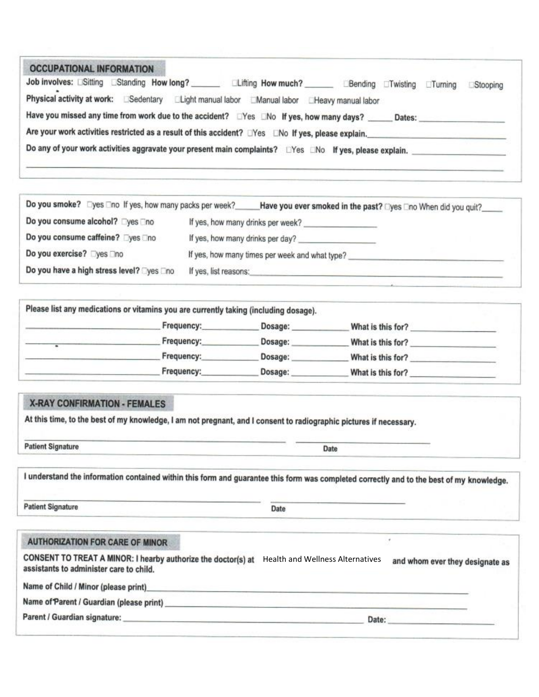| <b>OCCUPATIONAL INFORMATION</b>                                                                         |                                                       |                  |        |           |          |
|---------------------------------------------------------------------------------------------------------|-------------------------------------------------------|------------------|--------|-----------|----------|
| Job involves: ESitting EStanding How long?                                                              | Lifting How much?                                     | Bending Twisting |        | $T$ uming | Stooping |
| Physical activity at work: Sedentary                                                                    | Elight manual labor EManual labor EHeavy manual labor |                  |        |           |          |
| Have you missed any time from work due to the accident? EYes ENo If yes, how many days?                 |                                                       |                  | Dates: |           |          |
| Are your work activities restricted as a result of this accident? Nes No If yes, please explain.        |                                                       |                  |        |           |          |
| Do any of your work activities aggravate your present main complaints? LYes LNo If yes, please explain. |                                                       |                  |        |           |          |
|                                                                                                         |                                                       |                  |        |           |          |

| Do you smoke? Dyes Tho If yes, how many packs per week? | Have you ever smoked in the past? □yes □no When did you quit?__ |
|---------------------------------------------------------|-----------------------------------------------------------------|
| Do you consume alcohol? Dyes Dho                        | If yes, how many drinks per week?                               |
| Do you consume caffeine? Dyes Ono                       | If yes, how many drinks per day?                                |
| Do you exercise? Dyes Dno                               | If yes, how many times per week and what type?                  |
| Do you have a high stress level? Tyes Tho               | If yes, list reasons:                                           |

| Please list any medications or vitamins you are currently taking (including dosage). |         |                   |  |
|--------------------------------------------------------------------------------------|---------|-------------------|--|
| Frequency:                                                                           | Dosage: | What is this for? |  |
| Frequency:                                                                           | Dosage: | What is this for? |  |
| Frequency:                                                                           | Dosage: | What is this for? |  |
| Frequency:                                                                           | Dosage: | What is this for? |  |

### **X-RAY CONFIRMATION - FEMALES**

At this time, to the best of my knowledge, I am not pregnant, and I consent to radiographic pictures if necessary.

**Patient Signature** 

I understand the information contained within this form and guarantee this form was completed correctly and to the best of my knowledge.

**Patient Signature** 

Date

Date

#### **AUTHORIZATION FOR CARE OF MINOR**

CONSENT TO TREAT A MINOR: I hearby authorize the doctor(s) at Health and Wellness Alternatives and whom ever they designate as assistants to administer care to child.

Name of Child / Minor (please print)

Name of Parent / Guardian (please print) Mame of Parent Assets

Parent / Guardian signature:

Date:

 $\ast$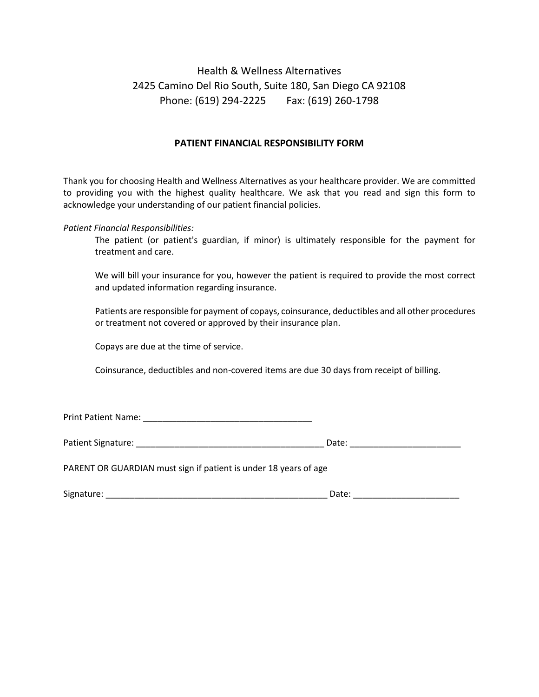# Health & Wellness Alternatives 2425 Camino Del Rio South, Suite 180, San Diego CA 92108 Phone: (619) 294-2225 Fax: (619) 260-1798

### **PATIENT FINANCIAL RESPONSIBILITY FORM**

Thank you for choosing Health and Wellness Alternatives as your healthcare provider. We are committed to providing you with the highest quality healthcare. We ask that you read and sign this form to acknowledge your understanding of our patient financial policies.

*Patient Financial Responsibilities:*

The patient (or patient's guardian, if minor) is ultimately responsible for the payment for treatment and care.

We will bill your insurance for you, however the patient is required to provide the most correct and updated information regarding insurance.

Patients are responsible for payment of copays, coinsurance, deductibles and all other procedures or treatment not covered or approved by their insurance plan.

Copays are due at the time of service.

Coinsurance, deductibles and non-covered items are due 30 days from receipt of billing.

Print Patient Name: \_\_\_\_\_\_\_\_\_\_\_\_\_\_\_\_\_\_\_\_\_\_\_\_\_\_\_\_\_\_\_\_\_\_\_

| Patient Signature:<br>wali. |  |
|-----------------------------|--|
|-----------------------------|--|

PARENT OR GUARDIAN must sign if patient is under 18 years of age

Signature: \_\_\_\_\_\_\_\_\_\_\_\_\_\_\_\_\_\_\_\_\_\_\_\_\_\_\_\_\_\_\_\_\_\_\_\_\_\_\_\_\_\_\_\_\_\_ Date: \_\_\_\_\_\_\_\_\_\_\_\_\_\_\_\_\_\_\_\_\_\_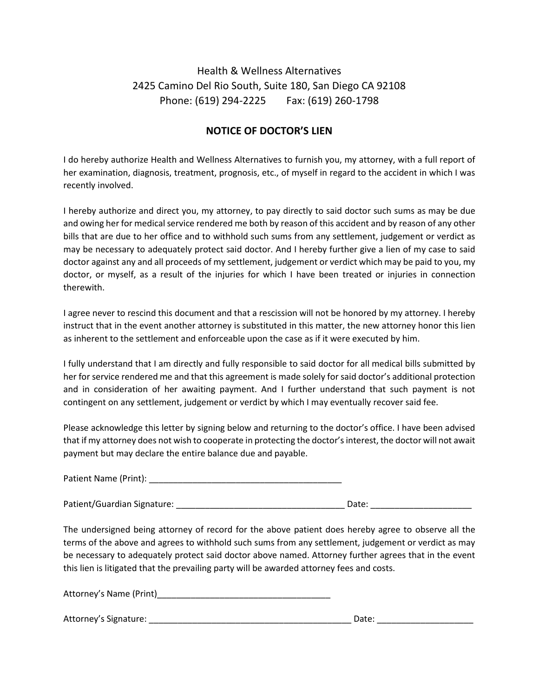# Health & Wellness Alternatives 2425 Camino Del Rio South, Suite 180, San Diego CA 92108 Phone: (619) 294-2225 Fax: (619) 260-1798

## **NOTICE OF DOCTOR'S LIEN**

I do hereby authorize Health and Wellness Alternatives to furnish you, my attorney, with a full report of her examination, diagnosis, treatment, prognosis, etc., of myself in regard to the accident in which I was recently involved.

I hereby authorize and direct you, my attorney, to pay directly to said doctor such sums as may be due and owing her for medical service rendered me both by reason of this accident and by reason of any other bills that are due to her office and to withhold such sums from any settlement, judgement or verdict as may be necessary to adequately protect said doctor. And I hereby further give a lien of my case to said doctor against any and all proceeds of my settlement, judgement or verdict which may be paid to you, my doctor, or myself, as a result of the injuries for which I have been treated or injuries in connection therewith.

I agree never to rescind this document and that a rescission will not be honored by my attorney. I hereby instruct that in the event another attorney is substituted in this matter, the new attorney honor this lien as inherent to the settlement and enforceable upon the case as if it were executed by him.

I fully understand that I am directly and fully responsible to said doctor for all medical bills submitted by her for service rendered me and that this agreement is made solely for said doctor's additional protection and in consideration of her awaiting payment. And I further understand that such payment is not contingent on any settlement, judgement or verdict by which I may eventually recover said fee.

Please acknowledge this letter by signing below and returning to the doctor's office. I have been advised that if my attorney does not wish to cooperate in protecting the doctor's interest, the doctor will not await payment but may declare the entire balance due and payable.

Patient Name (Print): \_\_\_\_\_\_\_\_\_\_\_\_\_\_\_\_\_\_\_\_\_\_\_\_\_\_\_\_\_\_\_\_\_\_\_\_\_\_\_\_

Patient/Guardian Signature: \_\_\_\_\_\_\_\_\_\_\_\_\_\_\_\_\_\_\_\_\_\_\_\_\_\_\_\_\_\_\_\_\_\_\_ Date: \_\_\_\_\_\_\_\_\_\_\_\_\_\_\_\_\_\_\_\_\_

The undersigned being attorney of record for the above patient does hereby agree to observe all the terms of the above and agrees to withhold such sums from any settlement, judgement or verdict as may be necessary to adequately protect said doctor above named. Attorney further agrees that in the event this lien is litigated that the prevailing party will be awarded attorney fees and costs.

Attorney's Name (Print)\_\_\_\_\_\_\_\_\_\_\_\_\_\_\_\_\_\_\_\_\_\_\_\_\_\_\_\_\_\_\_\_\_\_\_\_

Attorney's Signature: \_\_\_\_\_\_\_\_\_\_\_\_\_\_\_\_\_\_\_\_\_\_\_\_\_\_\_\_\_\_\_\_\_\_\_\_\_\_\_\_\_\_ Date: \_\_\_\_\_\_\_\_\_\_\_\_\_\_\_\_\_\_\_\_